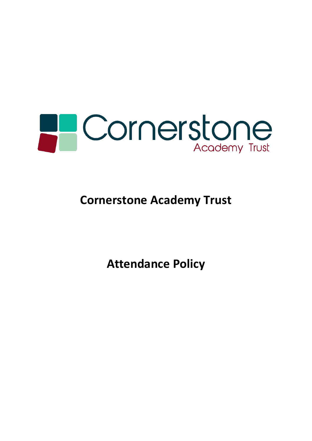

# **Cornerstone Academy Trust**

**Attendance Policy**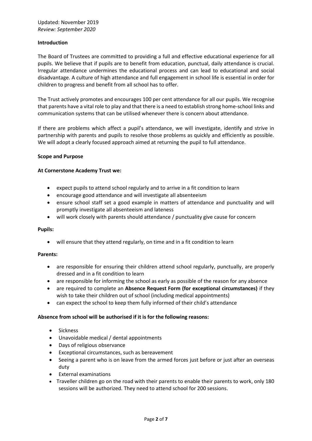## **Introduction**

The Board of Trustees are committed to providing a full and effective educational experience for all pupils. We believe that if pupils are to benefit from education, punctual, daily attendance is crucial. Irregular attendance undermines the educational process and can lead to educational and social disadvantage. A culture of high attendance and full engagement in school life is essential in order for children to progress and benefit from all school has to offer.

The Trust actively promotes and encourages 100 per cent attendance for all our pupils. We recognise that parents have a vital role to play and that there is a need to establish strong home-school links and communication systems that can be utilised whenever there is concern about attendance.

If there are problems which affect a pupil's attendance, we will investigate, identify and strive in partnership with parents and pupils to resolve those problems as quickly and efficiently as possible. We will adopt a clearly focused approach aimed at returning the pupil to full attendance.

## **Scope and Purpose**

## **At Cornerstone Academy Trust we:**

- expect pupils to attend school regularly and to arrive in a fit condition to learn
- encourage good attendance and will investigate all absenteeism
- ensure school staff set a good example in matters of attendance and punctuality and will promptly investigate all absenteeism and lateness
- will work closely with parents should attendance / punctuality give cause for concern

#### **Pupils:**

• will ensure that they attend regularly, on time and in a fit condition to learn

#### **Parents:**

- are responsible for ensuring their children attend school regularly, punctually, are properly dressed and in a fit condition to learn
- are responsible for informing the school as early as possible of the reason for any absence
- are required to complete an **Absence Request Form (for exceptional circumstances)** if they wish to take their children out of school (including medical appointments)
- can expect the school to keep them fully informed of their child's attendance

# **Absence from school will be authorised if it is for the following reasons:**

- Sickness
- Unavoidable medical / dental appointments
- Days of religious observance
- Exceptional circumstances, such as bereavement
- Seeing a parent who is on leave from the armed forces just before or just after an overseas duty
- External examinations
- Traveller children go on the road with their parents to enable their parents to work, only 180 sessions will be authorized. They need to attend school for 200 sessions.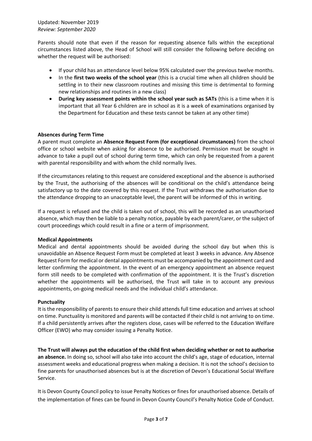Parents should note that even if the reason for requesting absence falls within the exceptional circumstances listed above, the Head of School will still consider the following before deciding on whether the request will be authorised:

- If your child has an attendance level below 95% calculated over the previous twelve months.
- In the **first two weeks of the school year** (this is a crucial time when all children should be settling in to their new classroom routines and missing this time is detrimental to forming new relationships and routines in a new class)
- **During key assessment points within the school year such as SATs** (this is a time when it is important that all Year 6 children are in school as it is a week of examinations organised by the Department for Education and these tests cannot be taken at any other time)

# **Absences during Term Time**

A parent must complete an **Absence Request Form (for exceptional circumstances)** from the school office or school website when asking for absence to be authorised. Permission must be sought in advance to take a pupil out of school during term time, which can only be requested from a parent with parental responsibility and with whom the child normally lives.

If the circumstances relating to this request are considered exceptional and the absence is authorised by the Trust, the authorising of the absences will be conditional on the child's attendance being satisfactory up to the date covered by this request. If the Trust withdraws the authorisation due to the attendance dropping to an unacceptable level, the parent will be informed of this in writing.

If a request is refused and the child is taken out of school, this will be recorded as an unauthorised absence, which may then be liable to a penalty notice, payable by each parent/carer, or the subject of court proceedings which could result in a fine or a term of imprisonment.

# **Medical Appointments**

Medical and dental appointments should be avoided during the school day but when this is unavoidable an Absence Request Form must be completed at least 3 weeks in advance. Any Absence Request Form for medical or dental appointments must be accompanied by the appointment card and letter confirming the appointment. In the event of an emergency appointment an absence request form still needs to be completed with confirmation of the appointment. It is the Trust's discretion whether the appointments will be authorised, the Trust will take in to account any previous appointments, on-going medical needs and the individual child's attendance.

# **Punctuality**

It is the responsibility of parents to ensure their child attends full time education and arrives at school on time. Punctuality is monitored and parents will be contacted if their child is not arriving to on time. If a child persistently arrives after the registers close, cases will be referred to the Education Welfare Officer (EWO) who may consider issuing a Penalty Notice.

**The Trust will always put the education of the child first when deciding whether or not to authorise an absence.** In doing so, school will also take into account the child's age, stage of education, internal assessment weeks and educational progress when making a decision. It is not the school's decision to fine parents for unauthorised absences but is at the discretion of Devon's Educational Social Welfare Service.

It is Devon County Council policy to issue Penalty Notices or fines for unauthorised absence. Details of the implementation of fines can be found in Devon County Council's Penalty Notice Code of Conduct.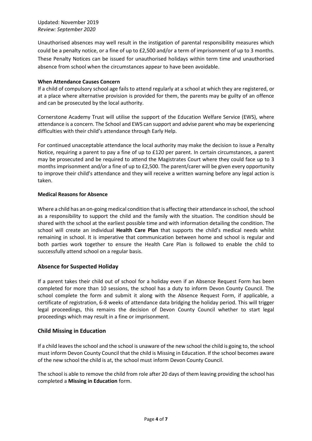# Updated: November 2019 *Review: September 2020*

Unauthorised absences may well result in the instigation of parental responsibility measures which could be a penalty notice, or a fine of up to £2,500 and/or a term of imprisonment of up to 3 months. These Penalty Notices can be issued for unauthorised holidays within term time and unauthorised absence from school when the circumstances appear to have been avoidable.

# **When Attendance Causes Concern**

If a child of compulsory school age fails to attend regularly at a school at which they are registered, or at a place where alternative provision is provided for them, the parents may be guilty of an offence and can be prosecuted by the local authority.

Cornerstone Academy Trust will utilise the support of the Education Welfare Service (EWS), where attendance is a concern. The School and EWS can support and advise parent who may be experiencing difficulties with their child's attendance through Early Help.

For continued unacceptable attendance the local authority may make the decision to issue a Penalty Notice, requiring a parent to pay a fine of up to £120 per parent. In certain circumstances, a parent may be prosecuted and be required to attend the Magistrates Court where they could face up to 3 months imprisonment and/or a fine of up to £2,500. The parent/carer will be given every opportunity to improve their child's attendance and they will receive a written warning before any legal action is taken.

# **Medical Reasons for Absence**

Where a child has an on-going medical condition that is affecting their attendance in school, the school as a responsibility to support the child and the family with the situation. The condition should be shared with the school at the earliest possible time and with information detailing the condition. The school will create an individual **Health Care Plan** that supports the child's medical needs whilst remaining in school. It is imperative that communication between home and school is regular and both parties work together to ensure the Health Care Plan is followed to enable the child to successfully attend school on a regular basis.

# **Absence for Suspected Holiday**

If a parent takes their child out of school for a holiday even if an Absence Request Form has been completed for more than 10 sessions, the school has a duty to inform Devon County Council. The school complete the form and submit it along with the Absence Request Form, if applicable, a certificate of registration, 6-8 weeks of attendance data bridging the holiday period. This will trigger legal proceedings, this remains the decision of Devon County Council whether to start legal proceedings which may result in a fine or imprisonment.

# **Child Missing in Education**

If a child leavesthe school and the school is unaware of the new school the child is going to, the school must inform Devon County Council that the child is Missing in Education. If the school becomes aware of the new school the child is at, the school must inform Devon County Council.

The school is able to remove the child from role after 20 days of them leaving providing the school has completed a **Missing in Education** form.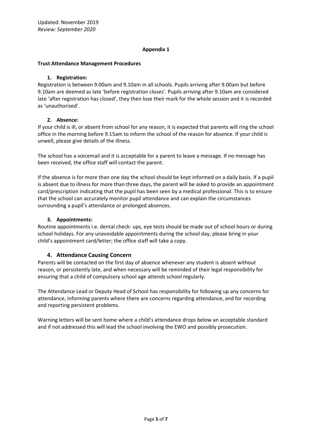# **Appendix 1**

## **Trust Attendance Management Procedures**

## **1. Registration:**

Registration is between 9.00am and 9.10am in all schools. Pupils arriving after 9.00am but before 9.10am are deemed as late 'before registration closes'. Pupils arriving after 9.10am are considered late 'after registration has closed', they then lose their mark for the whole session and it is recorded as 'unauthorised'.

# **2. Absence:**

If your child is ill, or absent from school for any reason, it is expected that parents will ring the school office in the morning before 9.15am to inform the school of the reason for absence. If your child is unwell, please give details of the illness.

The school has a voicemail and it is acceptable for a parent to leave a message. If no message has been received, the office staff will contact the parent.

If the absence is for more than one day the school should be kept informed on a daily basis. If a pupil is absent due to illness for more than three days, the parent will be asked to provide an appointment card/prescription indicating that the pupil has been seen by a medical professional. This is to ensure that the school can accurately monitor pupil attendance and can explain the circumstances surrounding a pupil's attendance or prolonged absences.

# **3. Appointments:**

Routine appointments i.e. dental check- ups, eye tests should be made out of school hours or during school holidays. For any unavoidable appointments during the school day, please bring in your child's appointment card/letter; the office staff will take a copy.

# **4. Attendance Causing Concern**

Parents will be contacted on the first day of absence whenever any student is absent without reason, or persistently late, and when necessary will be reminded of their legal responsibility for ensuring that a child of compulsory school age attends school regularly.

The Attendance Lead or Deputy Head of School has responsibility for following up any concerns for attendance, informing parents where there are concerns regarding attendance, and for recording and reporting persistent problems.

Warning letters will be sent home where a child's attendance drops below an acceptable standard and if not addressed this will lead the school involving the EWO and possibly prosecution.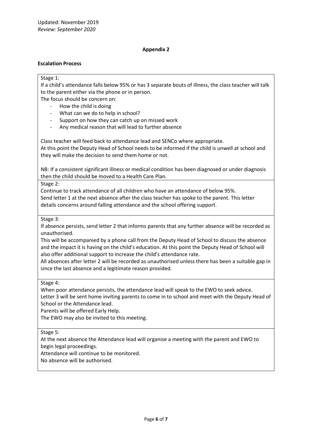# **Appendix 2**

## **Escalation Process**

#### Stage 1:

If a child's attendance falls below 95% or has 3 separate bouts of illness, the class teacher will talk to the parent either via the phone or in person.

The focus should be concern on:

- How the child is doing
- What can we do to help in school?
- Support on how they can catch up on missed work
- Any medical reason that will lead to further absence

Class teacher will feed back to attendance lead and SENCo where appropriate. At this point the Deputy Head of School needs to be informed if the child is unwell at school and

they will make the decision to send them home or not.

NB: If a consistent significant illness or medical condition has been diagnosed or under diagnosis then the child should be moved to a Health Care Plan.

## Stage 2:

Continue to track attendance of all children who have an attendance of below 95%. Send letter 1 at the next absence after the class teacher has spoke to the parent. This letter details concerns around falling attendance and the school offering support.

## Stage 3:

If absence persists, send letter 2 that informs parents that any further absence will be recorded as unauthorised.

This will be accompanied by a phone call from the Deputy Head of School to discuss the absence and the impact it is having on the child's education. At this point the Deputy Head of School will also offer additional support to increase the child's attendance rate.

All absences after letter 2 will be recorded as unauthorised unless there has been a suitable gap in since the last absence and a legitimate reason provided.

#### Stage 4:

When poor attendance persists, the attendance lead will speak to the EWO to seek advice. Letter 3 will be sent home inviting parents to come in to school and meet with the Deputy Head of School or the Attendance lead.

Parents will be offered Early Help.

The EWO may also be invited to this meeting.

# Stage 5:

At the next absence the Attendance lead will organise a meeting with the parent and EWO to begin legal proceedings.

Attendance will continue to be monitored.

No absence will be authorised.